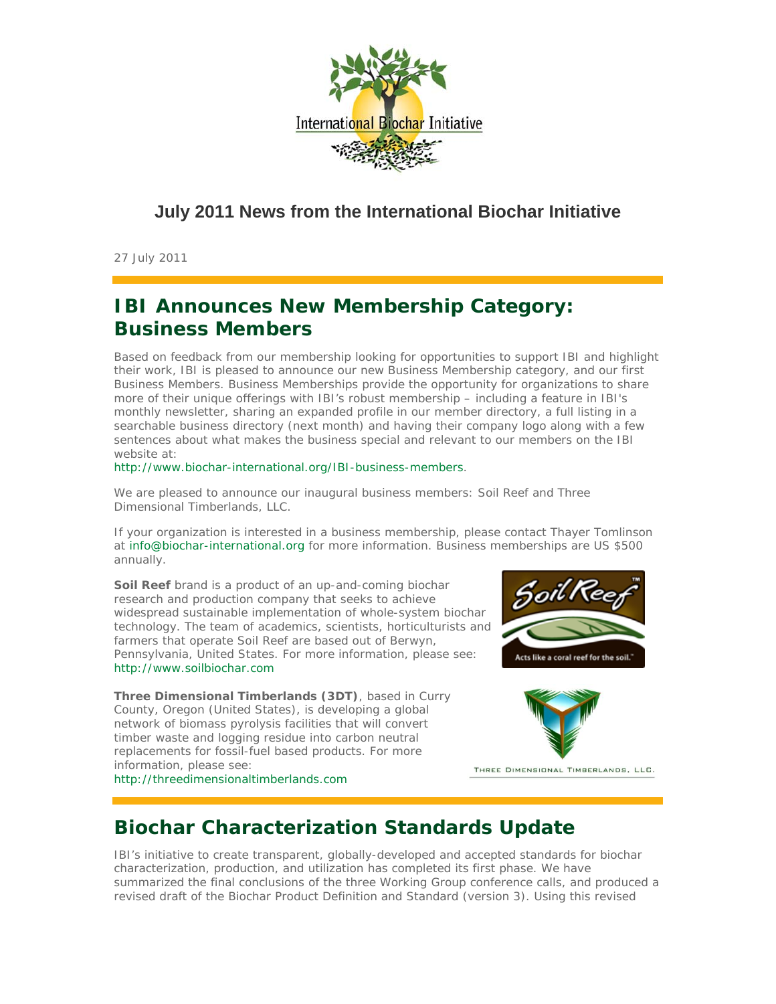

#### **July 2011 News from the International Biochar Initiative**

27 July 2011

# **IBI Announces New Membership Category: Business Members**

Based on feedback from our membership looking for opportunities to support IBI and highlight their work, IBI is pleased to announce our new Business Membership category, and our first Business Members. Business Memberships provide the opportunity for organizations to share more of their unique offerings with IBI's robust membership – including a feature in IBI's monthly newsletter, sharing an expanded profile in our member directory, a full listing in a searchable business directory (next month) and having their company logo along with a few sentences about what makes the business special and relevant to our members on the IBI website at:

http://www.biochar-international.org/IBI-business-members.

We are pleased to announce our inaugural business members: Soil Reef and Three Dimensional Timberlands, LLC.

If your organization is interested in a business membership, please contact Thayer Tomlinson at info@biochar-international.org for more information. Business memberships are US \$500 annually.

**Soil Reef** brand is a product of an up-and-coming biochar research and production company that seeks to achieve widespread sustainable implementation of whole-system biochar technology. The team of academics, scientists, horticulturists and farmers that operate Soil Reef are based out of Berwyn, Pennsylvania, United States. For more information, please see: http://www.soilbiochar.com

**Three Dimensional Timberlands (3DT)**, based in Curry County, Oregon (United States), is developing a global network of biomass pyrolysis facilities that will convert timber waste and logging residue into carbon neutral replacements for fossil-fuel based products. For more information, please see:

http://threedimensionaltimberlands.com





THREE DIMENSIONAL TIMBERLANDS, LLC.

## **Biochar Characterization Standards Update**

IBI's initiative to create transparent, globally-developed and accepted standards for biochar characterization, production, and utilization has completed its first phase. We have summarized the final conclusions of the three Working Group conference calls, and produced a revised draft of the Biochar Product Definition and Standard (version 3). Using this revised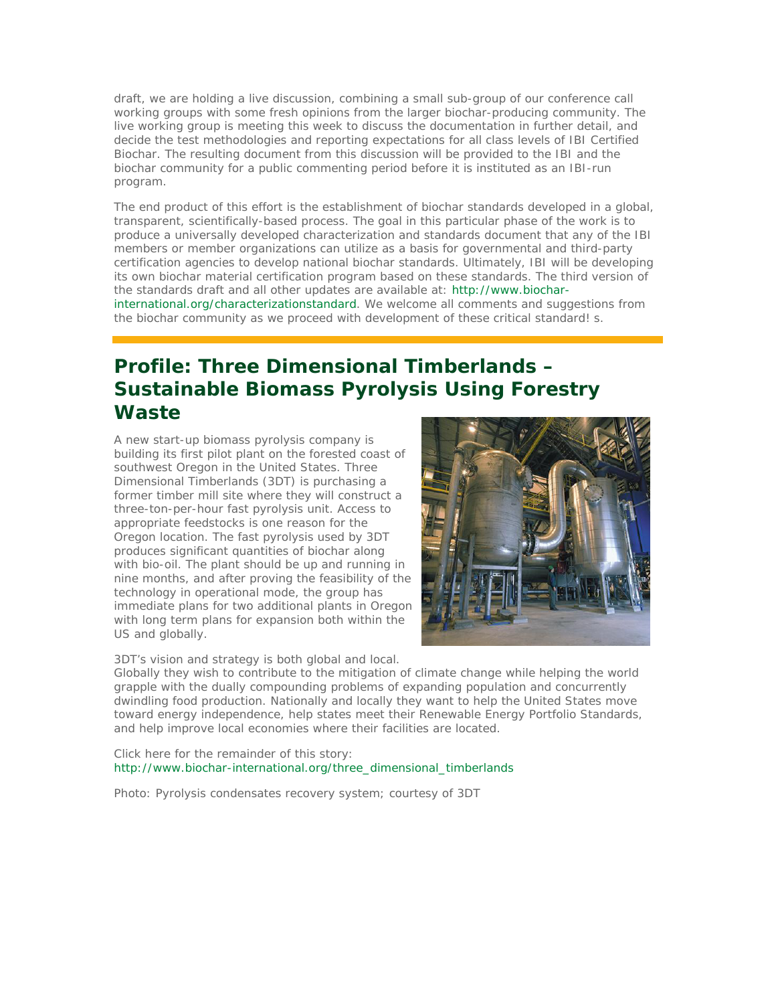draft, we are holding a live discussion, combining a small sub-group of our conference call working groups with some fresh opinions from the larger biochar-producing community. The live working group is meeting this week to discuss the documentation in further detail, and decide the test methodologies and reporting expectations for all class levels of IBI Certified Biochar. The resulting document from this discussion will be provided to the IBI and the biochar community for a public commenting period before it is instituted as an IBI-run program.

The end product of this effort is the establishment of biochar standards developed in a global, transparent, scientifically-based process. The goal in this particular phase of the work is to produce a universally developed characterization and standards document that any of the IBI members or member organizations can utilize as a basis for governmental and third-party certification agencies to develop national biochar standards. Ultimately, IBI will be developing its own biochar material certification program based on these standards. The third version of the standards draft and all other updates are available at: http://www.biocharinternational.org/characterizationstandard. We welcome all comments and suggestions from the biochar community as we proceed with development of these critical standard! s.

## **Profile: Three Dimensional Timberlands – Sustainable Biomass Pyrolysis Using Forestry Waste**

A new start-up biomass pyrolysis company is building its first pilot plant on the forested coast of southwest Oregon in the United States. Three Dimensional Timberlands (3DT) is purchasing a former timber mill site where they will construct a three-ton-per-hour fast pyrolysis unit. Access to appropriate feedstocks is one reason for the Oregon location. The fast pyrolysis used by 3DT produces significant quantities of biochar along with bio-oil. The plant should be up and running in nine months, and after proving the feasibility of the technology in operational mode, the group has immediate plans for two additional plants in Oregon with long term plans for expansion both within the US and globally.



3DT's vision and strategy is both global and local.

Globally they wish to contribute to the mitigation of climate change while helping the world grapple with the dually compounding problems of expanding population and concurrently dwindling food production. Nationally and locally they want to help the United States move toward energy independence, help states meet their Renewable Energy Portfolio Standards, and help improve local economies where their facilities are located.

Click here for the remainder of this story: http://www.biochar-international.org/three\_dimensional\_timberlands

Photo: Pyrolysis condensates recovery system; courtesy of 3DT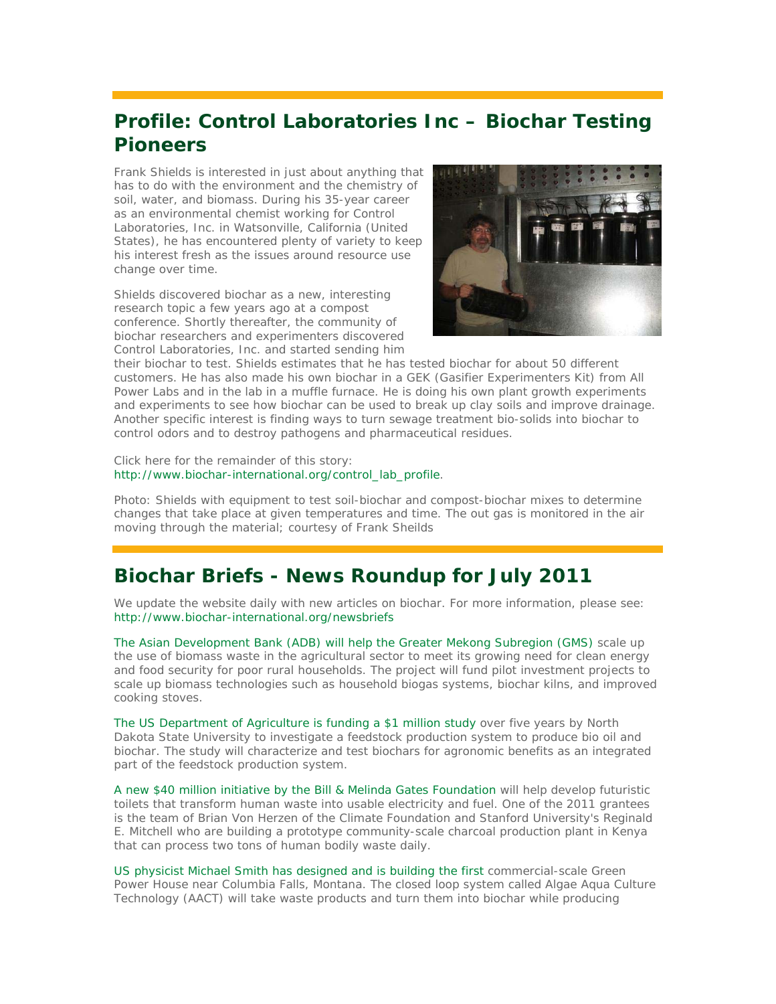## **Profile: Control Laboratories Inc – Biochar Testing Pioneers**

Frank Shields is interested in just about anything that has to do with the environment and the chemistry of soil, water, and biomass. During his 35-year career as an environmental chemist working for Control Laboratories, Inc. in Watsonville, California (United States), he has encountered plenty of variety to keep his interest fresh as the issues around resource use change over time.

Shields discovered biochar as a new, interesting research topic a few years ago at a compost conference. Shortly thereafter, the community of biochar researchers and experimenters discovered Control Laboratories, Inc. and started sending him



their biochar to test. Shields estimates that he has tested biochar for about 50 different customers. He has also made his own biochar in a GEK (Gasifier Experimenters Kit) from All Power Labs and in the lab in a muffle furnace. He is doing his own plant growth experiments and experiments to see how biochar can be used to break up clay soils and improve drainage. Another specific interest is finding ways to turn sewage treatment bio-solids into biochar to control odors and to destroy pathogens and pharmaceutical residues.

Click here for the remainder of this story: http://www.biochar-international.org/control\_lab\_profile.

Photo: Shields with equipment to test soil-biochar and compost-biochar mixes to determine changes that take place at given temperatures and time. The out gas is monitored in the air moving through the material; courtesy of Frank Sheilds

## **Biochar Briefs - News Roundup for July 2011**

We update the website daily with new articles on biochar. For more information, please see: http://www.biochar-international.org/newsbriefs

The Asian Development Bank (ADB) will help the Greater Mekong Subregion (GMS) scale up the use of biomass waste in the agricultural sector to meet its growing need for clean energy and food security for poor rural households. The project will fund pilot investment projects to scale up biomass technologies such as household biogas systems, biochar kilns, and improved cooking stoves.

The US Department of Agriculture is funding a \$1 million study over five years by North Dakota State University to investigate a feedstock production system to produce bio oil and biochar. The study will characterize and test biochars for agronomic benefits as an integrated part of the feedstock production system.

A new \$40 million initiative by the Bill & Melinda Gates Foundation will help develop futuristic toilets that transform human waste into usable electricity and fuel. One of the 2011 grantees is the team of Brian Von Herzen of the Climate Foundation and Stanford University's Reginald E. Mitchell who are building a prototype community-scale charcoal production plant in Kenya that can process two tons of human bodily waste daily.

US physicist Michael Smith has designed and is building the first commercial-scale Green Power House near Columbia Falls, Montana. The closed loop system called Algae Aqua Culture Technology (AACT) will take waste products and turn them into biochar while producing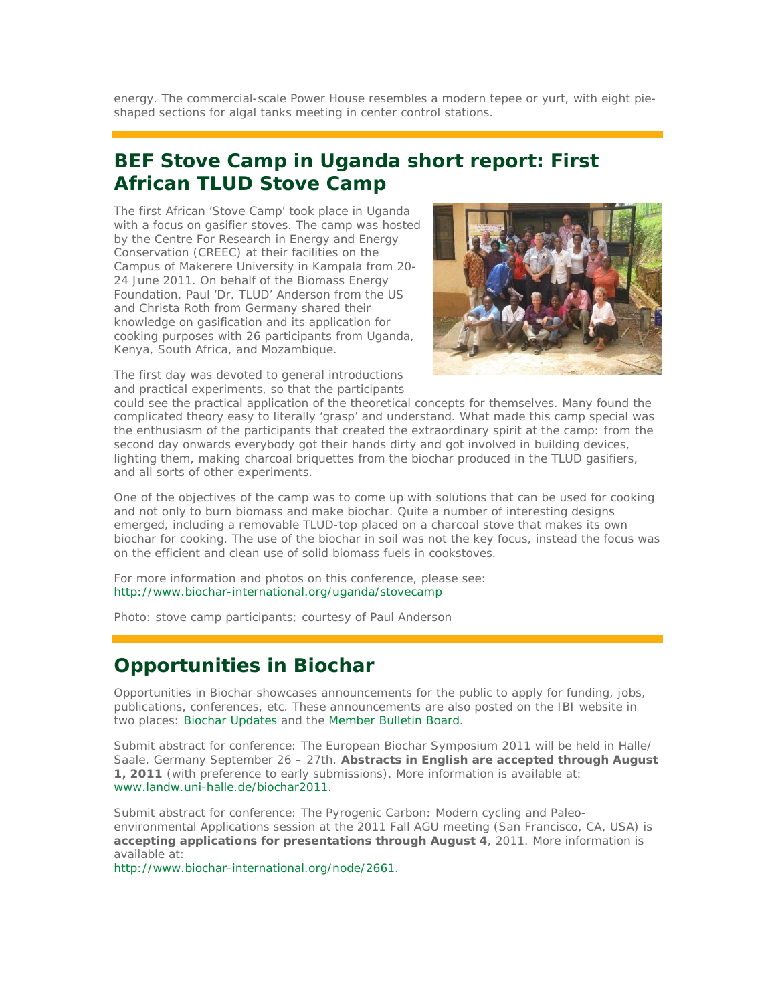energy. The commercial-scale Power House resembles a modern tepee or yurt, with eight pieshaped sections for algal tanks meeting in center control stations.

#### **BEF Stove Camp in Uganda short report: First African TLUD Stove Camp**

The first African 'Stove Camp' took place in Uganda with a focus on gasifier stoves. The camp was hosted by the Centre For Research in Energy and Energy Conservation (CREEC) at their facilities on the Campus of Makerere University in Kampala from 20- 24 June 2011. On behalf of the Biomass Energy Foundation, Paul 'Dr. TLUD' Anderson from the US and Christa Roth from Germany shared their knowledge on gasification and its application for cooking purposes with 26 participants from Uganda, Kenya, South Africa, and Mozambique.



The first day was devoted to general introductions and practical experiments, so that the participants

could see the practical application of the theoretical concepts for themselves. Many found the complicated theory easy to literally 'grasp' and understand. What made this camp special was the enthusiasm of the participants that created the extraordinary spirit at the camp: from the second day onwards everybody got their hands dirty and got involved in building devices, lighting them, making charcoal briquettes from the biochar produced in the TLUD gasifiers, and all sorts of other experiments.

One of the objectives of the camp was to come up with solutions that can be used for cooking and not only to burn biomass and make biochar. Quite a number of interesting designs emerged, including a removable TLUD-top placed on a charcoal stove that makes its own biochar for cooking. The use of the biochar in soil was not the key focus, instead the focus was on the efficient and clean use of solid biomass fuels in cookstoves.

For more information and photos on this conference, please see: http://www.biochar-international.org/uganda/stovecamp

Photo: stove camp participants; courtesy of Paul Anderson

## **Opportunities in Biochar**

*Opportunities in Biochar* showcases announcements for the public to apply for funding, jobs, publications, conferences, etc. These announcements are also posted on the IBI website in two places: Biochar Updates and the Member Bulletin Board.

*Submit abstract for conference*: The European Biochar Symposium 2011 will be held in Halle/ Saale, Germany September 26 – 27th. **Abstracts in English are accepted through August 1, 2011** (with preference to early submissions). More information is available at: www.landw.uni-halle.de/biochar2011.

*Submit abstract for conference*: The Pyrogenic Carbon: Modern cycling and Paleoenvironmental Applications session at the 2011 Fall AGU meeting (San Francisco, CA, USA) is **accepting applications for presentations through August 4**, 2011. More information is available at:

http://www.biochar-international.org/node/2661.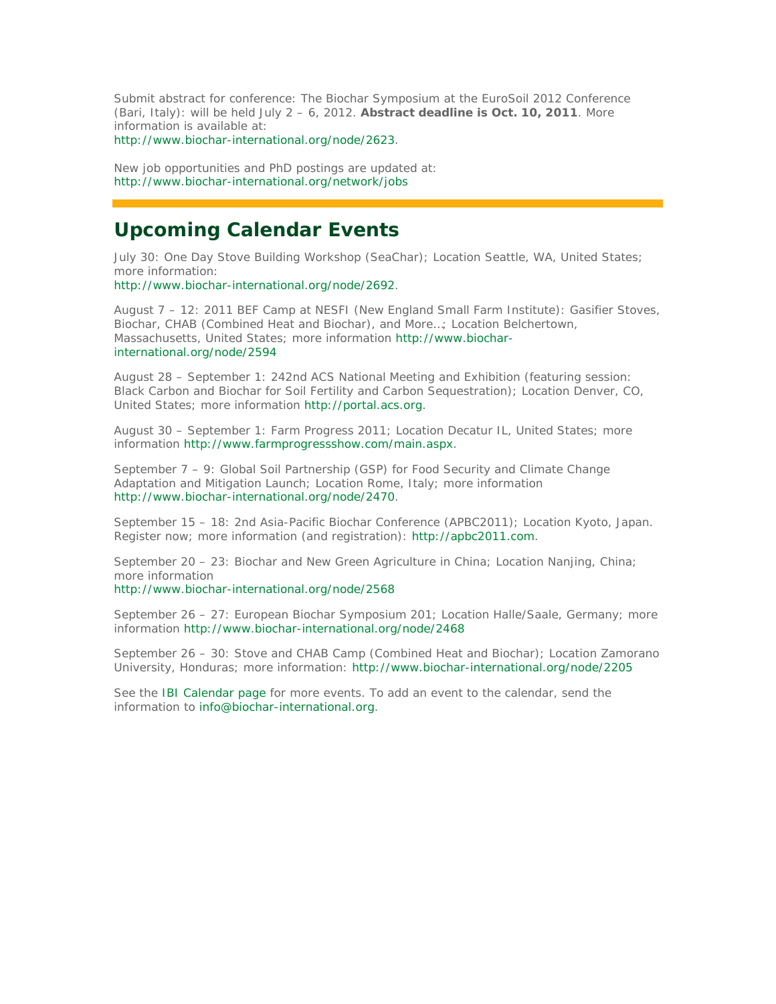*Submit abstract for conference*: The Biochar Symposium at the EuroSoil 2012 Conference (Bari, Italy): will be held July 2 – 6, 2012. **Abstract deadline is Oct. 10, 2011**. More information is available at:

http://www.biochar-international.org/node/2623.

New job opportunities and PhD postings are updated at: http://www.biochar-international.org/network/jobs

#### **Upcoming Calendar Events**

July 30: One Day Stove Building Workshop (SeaChar); Location Seattle, WA, United States; more information:

http://www.biochar-international.org/node/2692.

August 7 – 12: 2011 BEF Camp at NESFI (New England Small Farm Institute): Gasifier Stoves, Biochar, CHAB (Combined Heat and Biochar), and More…; Location Belchertown, Massachusetts, United States; more information http://www.biocharinternational.org/node/2594

August 28 – September 1: 242nd ACS National Meeting and Exhibition (featuring session: Black Carbon and Biochar for Soil Fertility and Carbon Sequestration); Location Denver, CO, United States; more information http://portal.acs.org.

August 30 – September 1: Farm Progress 2011; Location Decatur IL, United States; more information http://www.farmprogressshow.com/main.aspx.

September 7 – 9: Global Soil Partnership (GSP) for Food Security and Climate Change Adaptation and Mitigation Launch; Location Rome, Italy; more information http://www.biochar-international.org/node/2470.

September 15 – 18: 2nd Asia-Pacific Biochar Conference (APBC2011); Location Kyoto, Japan. Register now; more information (and registration): http://apbc2011.com.

September 20 – 23: Biochar and New Green Agriculture in China; Location Nanjing, China; more information

http://www.biochar-international.org/node/2568

September 26 – 27: European Biochar Symposium 201; Location Halle/Saale, Germany; more information http://www.biochar-international.org/node/2468

September 26 – 30: Stove and CHAB Camp (Combined Heat and Biochar); Location Zamorano University, Honduras; more information: http://www.biochar-international.org/node/2205

See the IBI Calendar page for more events. To add an event to the calendar, send the information to info@biochar-international.org.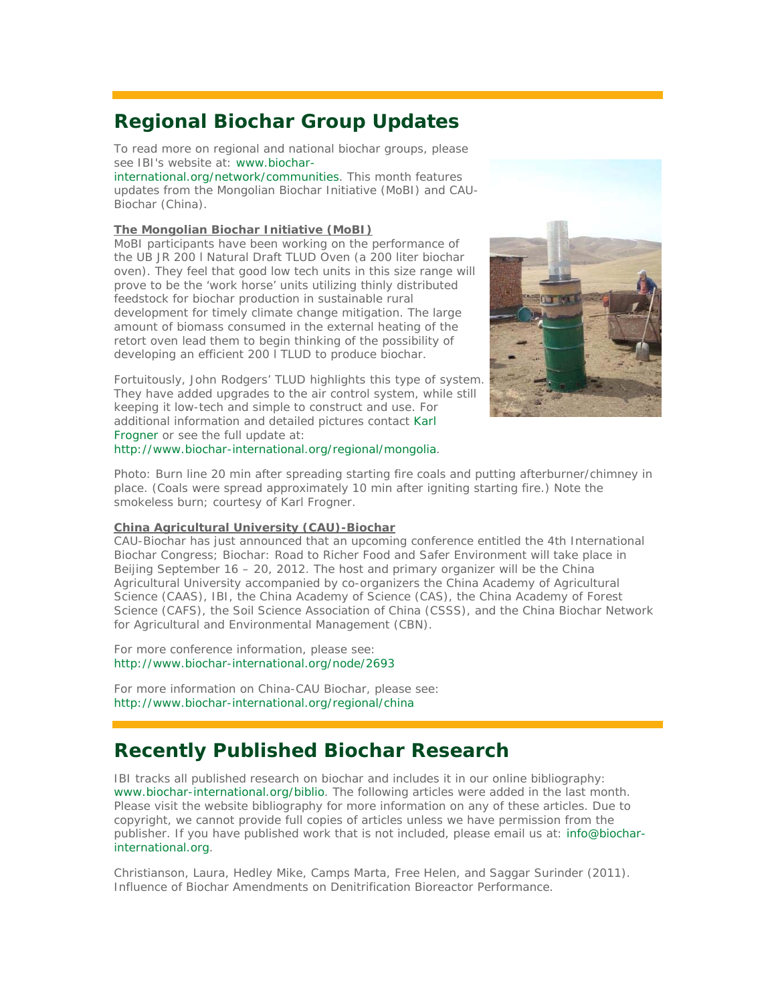## **Regional Biochar Group Updates**

To read more on regional and national biochar groups, please see IBI's website at: www.biochar-

international.org/network/communities. This month features updates from the Mongolian Biochar Initiative (MoBI) and CAU-Biochar (China).

#### **The Mongolian Biochar Initiative (MoBI)**

MoBI participants have been working on the performance of the UB JR 200 l Natural Draft TLUD Oven (a 200 liter biochar oven). They feel that good low tech units in this size range will prove to be the 'work horse' units utilizing thinly distributed feedstock for biochar production in sustainable rural development for timely climate change mitigation. The large amount of biomass consumed in the external heating of the retort oven lead them to begin thinking of the possibility of developing an efficient 200 l TLUD to produce biochar.



Fortuitously, John Rodgers' TLUD highlights this type of system. They have added upgrades to the air control system, while still keeping it low-tech and simple to construct and use. For additional information and detailed pictures contact Karl Frogner or see the full update at: http://www.biochar-international.org/regional/mongolia.

Photo: Burn line 20 min after spreading starting fire coals and putting afterburner/chimney in place. (Coals were spread approximately 10 min after igniting starting fire.) Note the smokeless burn; courtesy of Karl Frogner.

#### **China Agricultural University (CAU)-Biochar**

CAU-Biochar has just announced that an upcoming conference entitled the 4th International Biochar Congress; Biochar: Road to Richer Food and Safer Environment will take place in Beijing September 16 – 20, 2012. The host and primary organizer will be the China Agricultural University accompanied by co-organizers the China Academy of Agricultural Science (CAAS), IBI, the China Academy of Science (CAS), the China Academy of Forest Science (CAFS), the Soil Science Association of China (CSSS), and the China Biochar Network for Agricultural and Environmental Management (CBN).

For more conference information, please see: http://www.biochar-international.org/node/2693

For more information on China-CAU Biochar, please see: http://www.biochar-international.org/regional/china

## **Recently Published Biochar Research**

IBI tracks all published research on biochar and includes it in our online bibliography: www.biochar-international.org/biblio. The following articles were added in the last month. Please visit the website bibliography for more information on any of these articles. Due to copyright, we cannot provide full copies of articles unless we have permission from the publisher. If you have published work that is not included, please email us at: info@biocharinternational.org.

Christianson, Laura, Hedley Mike, Camps Marta, Free Helen, and Saggar Surinder (2011). Influence of Biochar Amendments on Denitrification Bioreactor Performance.